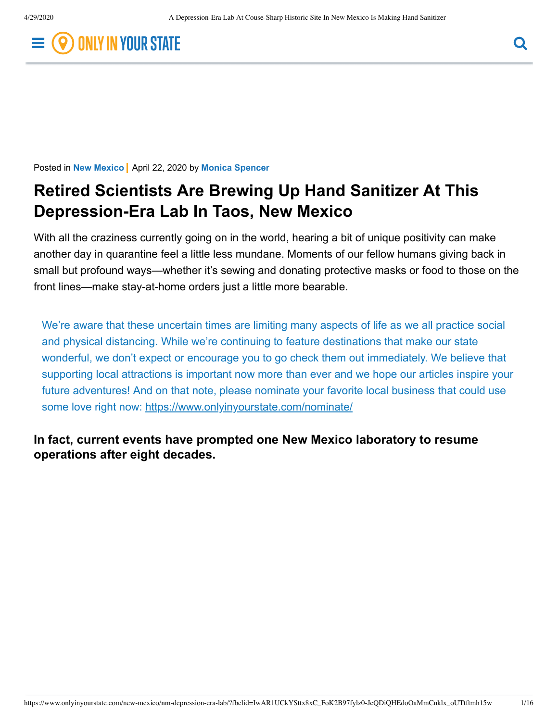

Posted in **[New Mexico](https://www.onlyinyourstate.com/states/new-mexico/)** April 22, 2020 by [Monica Spencer](https://www.onlyinyourstate.com/author/mspencer/)

## **Retired Scientists Are Brewing Up Hand Sanitizer At This Depression-Era Lab In Taos, New Mexico**

With all the craziness currently going on in the world, hearing a bit of unique positivity can make another day in quarantine feel a little less mundane. Moments of our fellow humans giving back in small but profound ways—whether it's sewing and donating protective masks or food to those on the front lines—make stay-at-home orders just a little more bearable.

We're aware that these uncertain times are limiting many aspects of life as we all practice social and physical distancing. While we're continuing to feature destinations that make our state wonderful, we don't expect or encourage you to go check them out immediately. We believe that supporting local attractions is important now more than ever and we hope our articles inspire your future adventures! And on that note, please nominate your favorite local business that could use some love right now:<https://www.onlyinyourstate.com/nominate/>

**In fact, current events have prompted one New Mexico laboratory to resume operations after eight decades.**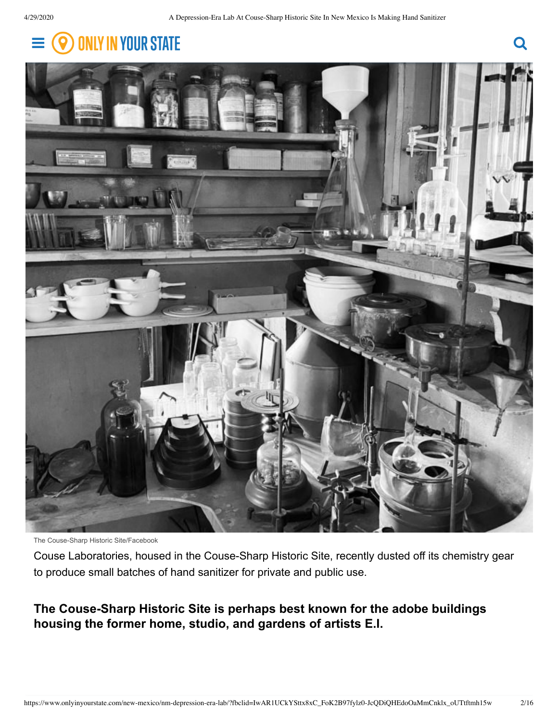



[The Couse-Sharp Historic Site/Facebook](https://www.facebook.com/thecousesharphistoricsite/photos/a.2467637709938242/2756979517670725/?type=3&theater)

Couse Laboratories, housed in the Couse-Sharp Historic Site, recently dusted off its chemistry gear to produce small batches of hand sanitizer for private and public use.

## **The Couse-Sharp Historic Site is perhaps best known for the adobe buildings housing the former home, studio, and gardens of artists E.I.**

Q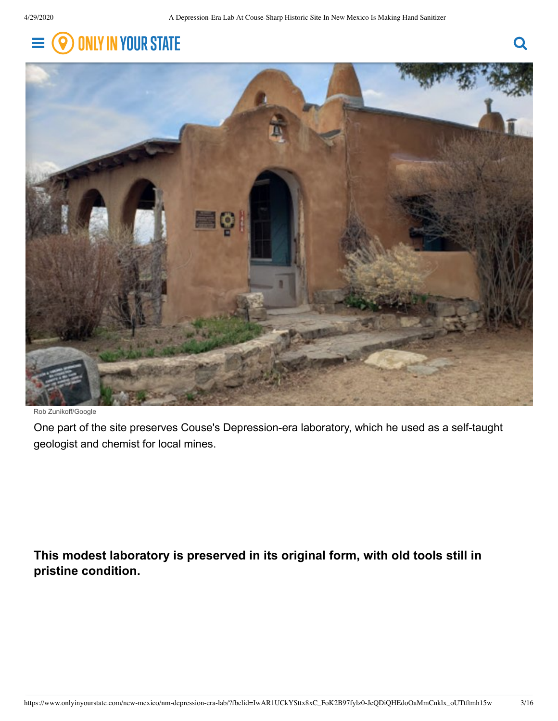# **ONLY IN YOUR STATE**



[Rob Zunikoff/Google](https://www.google.com/maps/uv?hl=en&pb=!1s0x87176522b603f033%3A0xaf8cad137df936c3!3m1!7e115!4shttps%3A%2F%2Flh5.googleusercontent.com%2Fp%2FAF1QipPYqCi5FEGTFXIKyefXPc_ovgnSgf0lUbvi0qZT%3Dw426-h320-k-no!5sCouse-Sharp%20Historic%20Site%20-%20Google%20Search&imagekey=!1e10!2sAF1QipMkrKNX-2V1nTkzc69BWVjjG17Y-ACOeFpjSGDT&sa=X&ved=2ahUKEwj_ko7KzfvoAhUZCTQIHXpxAycQoiowGHoECB8QBg)

One part of the site preserves Couse's Depression-era laboratory, which he used as a self-taught geologist and chemist for local mines.

**This modest laboratory is preserved in its original form, with old tools still in pristine condition.**

Q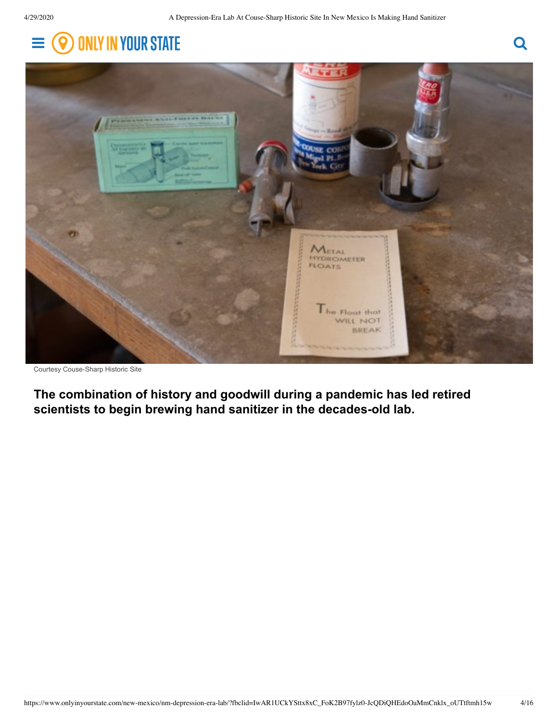



[Courtesy Couse-Sharp Historic Site](http://couse-sharp.org/)

**The combination of history and goodwill during a pandemic has led retired scientists to begin brewing hand sanitizer in the decades-old lab.**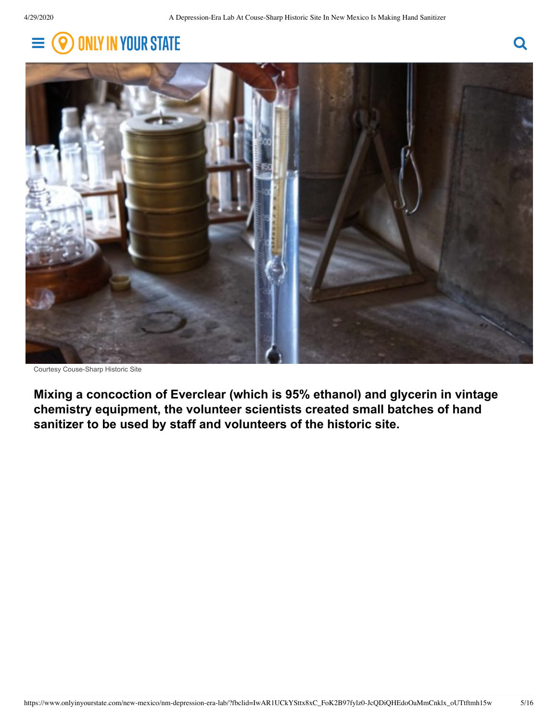$\mathbf Q$ 

#### **ONLY IN YOUR STATE** Ξ



[Courtesy Couse-Sharp Historic Site](http://couse-sharp.org/)

**Mixing a concoction of Everclear (which is 95% ethanol) and glycerin in vintage chemistry equipment, the volunteer scientists created small batches of hand sanitizer to be used by staff and volunteers of the historic site.**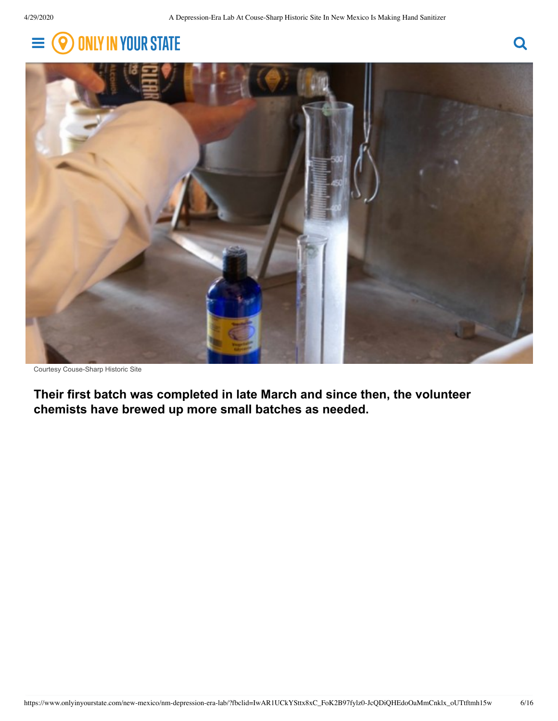#### **ONLY IN YOUR STATE** Ξ



[Courtesy Couse-Sharp Historic Site](http://couse-sharp.org/)

**Their first batch was completed in late March and since then, the volunteer chemists have brewed up more small batches as needed.**

 $\overline{Q}$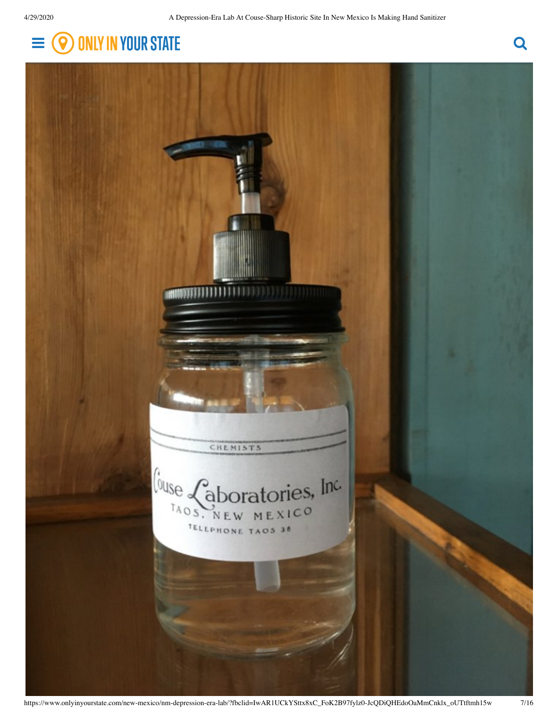#### **ONLY IN YOUR STATE** Ξ



 $\overline{Q}$